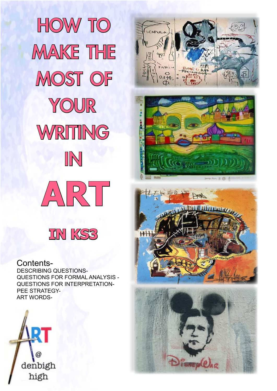

# $\theta_{114}$   $\frac{1}{2}$   $\theta_{11}$







Contents-

DESCRIBING QUESTIONS-QUESTIONS FOR FORMAL ANALYSIS - QUESTIONS FOR INTERPRETATION-PEE STRATEGY-ART WORDS-

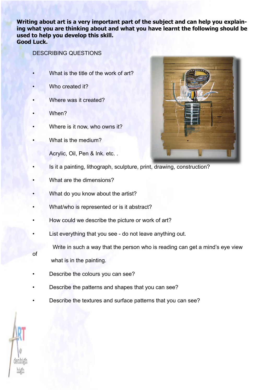**Writing about art is a very important part of the subject and can help you explaining what you are thinking about and what you have learnt the following should be used to help you develop this skill. Good Luck.**

# DESCRIBING QUESTIONS

- What is the title of the work of art?
- Who created it?
- Where was it created?
- When?
- Where is it now, who owns it?
- What is the medium?
	- Acrylic, Oil, Pen & Ink. etc. .
- Is it a painting, lithograph, sculpture, print, drawing, construction?
- What are the dimensions?
- What do you know about the artist?
- What/who is represented or is it abstract?
- How could we describe the picture or work of art?
- List everything that you see do not leave anything out.
	- Write in such a way that the person who is reading can get a mind's eye view
- of

what is in the painting.

- Describe the colours you can see?
- Describe the patterns and shapes that you can see?
- Describe the textures and surface patterns that you can see?



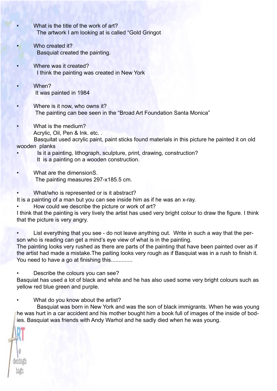- What is the title of the work of art? The artwork I am looking at is called "Gold Gringot
- Who created it? Basquiat created the painting.
- Where was it created? I think the painting was created in New York
- When? It was painted in 1984
- Where is it now, who owns it? The painting can bee seen in the "Broad Art Foundation Santa Monica"
- What is the medium? Acrylic, Oil, Pen & Ink. etc. .

 Basquitat used acrylic paint, paint sticks found materials in this picture he painted it on old wooden planks

- Is it a painting, lithograph, sculpture, print, drawing, construction? It is a painting on a wooden construction.
- What are the dimensionS. The painting measures 297-x185.5 cm.
- What/who is represented or is it abstract?

It is a painting of a man but you can see inside him as if he was an x-ray.

How could we describe the picture or work of art?

I think that the painting is very lively the artist has used very bright colour to draw the figure. I think that the picture is very angry.

• List everything that you see - do not leave anything out. Write in such a way that the person who is reading can get a mind's eye view of what is in the painting.

The painting looks very rushed as there are parts of the painting that have been painted over as if the artist had made a mistake.The paiting looks very rough as if Basquiat was in a rush to finish it. You need to have a go at finishing this..............

Describe the colours you can see?

Basquiat has used a lot of black and white and he has also used some very bright colours such as yellow red blue green and purple.

What do you know about the artist?

enbi

 Basquiat was born in New York and was the son of black immigrants. When he was young he was hurt in a car accident and his mother bought him a book full of images of the inside of bodies. Basquiat was friends with Andy Warhol and he sadly died when he was young.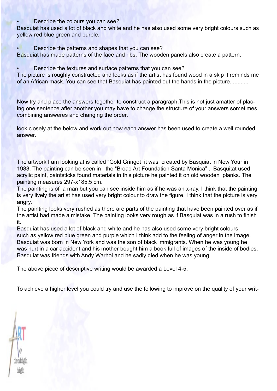# • Describe the colours you can see?

Basquiat has used a lot of black and white and he has also used some very bright colours such as yellow red blue green and purple.

• Describe the patterns and shapes that you can see?

Basquiat has made patterns of the face and ribs. The wooden panels also create a pattern.

• Describe the textures and surface patterns that you can see?

The picture is roughly constructed and looks as if the artist has found wood in a skip it reminds me of an African mask. You can see that Basquiat has painted out the hands in the picture............

Now try and place the answers together to construct a paragraph.This is not just amatter of placing one sentence after another you may have to change the structure of your answers sometimes combining answeres and changing the order.

look closely at the below and work out how each answer has been used to create a well rounded answer.

The artwork I am looking at is called "Gold Gringot it was created by Basquiat in New Your in 1983. The painting can be seen in the "Broad Art Foundation Santa Monica" . Basquitat used acrylic paint, paintsticks found materials in this picture he painted it on old wooden planks. The painting measures 297-x185.5 cm.

The painting is of a man but you can see inside him as if he was an x-ray. I think that the painting is very lively the artist has used very bright colour to draw the figure. I think that the picture is very angry.

The painting looks very rushed as there are parts of the painting that have been painted over as if the artist had made a mistake. The painting looks very rough as if Basquiat was in a rush to finish it.

Basquiat has used a lot of black and white and he has also used some very bright colours such as yellow red blue green and purple which I think add to the feeling of anger in the image. Basquiat was born in New York and was the son of black immigrants. When he was young he was hurt in a car accident and his mother bought him a book full of images of the inside of bodies. Basquiat was friends with Andy Warhol and he sadly died when he was young.

The above piece of descriptive writing would be awarded a Level 4-5.

To achieve a higher level you could try and use the following to improve on the quality of your writ-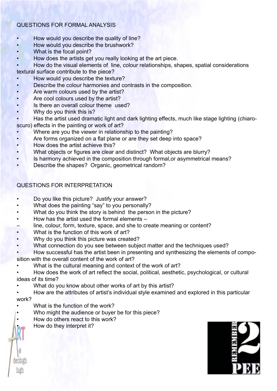# QUESTIONS FOR FORMAL ANALYSIS

- How would you describe the quality of line?
- How would you describe the brushwork?
- What is the focal point?
- How does the artists get you really looking at the art piece.

• How do the visual elements of line, colour relationships, shapes, spatial considerations

textural surface contribute to the piece?

- How would you describe the texture?
- Describe the colour harmonies and contrasts in the composition.
- Are warm colours used by the artist?
- Are cool colours used by the artist?
- Is there an overall colour theme used?
- Why do you think this is?

• Has the artist used dramatic light and dark lighting effects, much like stage lighting (chiaroscuro) effects in the painting or work of art?

- Where are you the viewer in relationship to the painting?
- Are forms organized on a flat plane or are they set deep into space?
- How does the artist achieve this?
- What objects or figures are clear and distinct? What objects are blurry?
- Is harmony achieved in the composition through formal, or asymmetrical means?
- Describe the shapes? Organic, geometrical random?

# QUESTIONS FOR INTERPRETATION

- Do you like this picture? Justify your answer?
- What does the painting "say" to you personally?
- What do you think the story is behind the person in the picture?
- How has the artist used the formal elements –
- line, colour, form, texture, space, and she to create meaning or content?
- What is the function of this work of art?
- Why do you think this picture was created?
- What connection do you see between subject matter and the techniques used?
- How successful has the artist been in presenting and synthesizing the elements of composition with the overall content of the work of art?
- What is the cultural meaning and context of the work of art?
- How does the work of art reflect the social, political, aesthetic, psychological, or cultural ideas of its time?
- What do you know about other works of art by this artist?

• How are the attributes of artist's individual style examined and explored in this particular work?

- What is the function of the work?
- Who might the audience or buyer be for this piece?
- How do others react to this work?
	- How do they interpret it?

1enbi

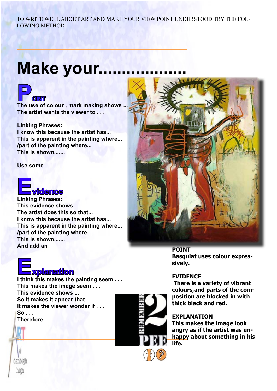# TO WRITE WELL ABOUT ART AND MAKE YOUR VIEW POINT UNDERSTOOD TRY THE FOL-LOWING METHOD

# **Make your...**



**POINT**<br>
The use of colour , mark making shows ... **The artist wants the viewer to . . .**

# **Linking Phrases:**

**I know this because the artist has... This is apparent in the painting where... /part of the painting where... This is shown.......**

**Use some**



**This evidence shows ... The artist does this so that... I know this because the artist has... This is apparent in the painting where... /part of the painting where... This is shown....... And add an**



**POINT Basquiat uses colour expressively.**

# **EVIDENCE**

 **There is a variety of vibrant colours,and parts of the composition are blocked in with thick black and red.**

# **EXPLANATION**

**This makes the image look angry as if the artist was unhappy about something in his life.**

# **Explanation**

**I think this makes the painting seem . . . This makes the image seem . . . This evidence shows ... So it makes it appear that . . . It makes the viewer wonder if . . . So . . . Therefore . . .**



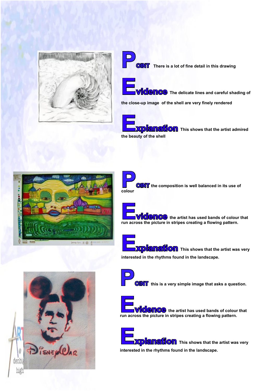

**CINT** There is a lot of fine detail in this drawing



**MCCO** The delicate lines and careful shading of

**the close-up image of the shell are very finely rendered**



**Explanation** This shows that the artist admired **the beauty of the shell**



**OINT** the composition is well balanced in its use of **colour**

**Cence** the artist has used bands of colour that **run across the picture in stripes creating a flowing pattern.**

**Explanation** This shows that the artist was very **interested in the rhythms found in the landscape.**





**OINT** this is a very simple image that asks a question.



**ECONCO** the artist has used bands of colour that **run across the picture in stripes creating a flowing pattern.**

**Enciton** This shows that the artist was very **interested in the rhythms found in the landscape.**